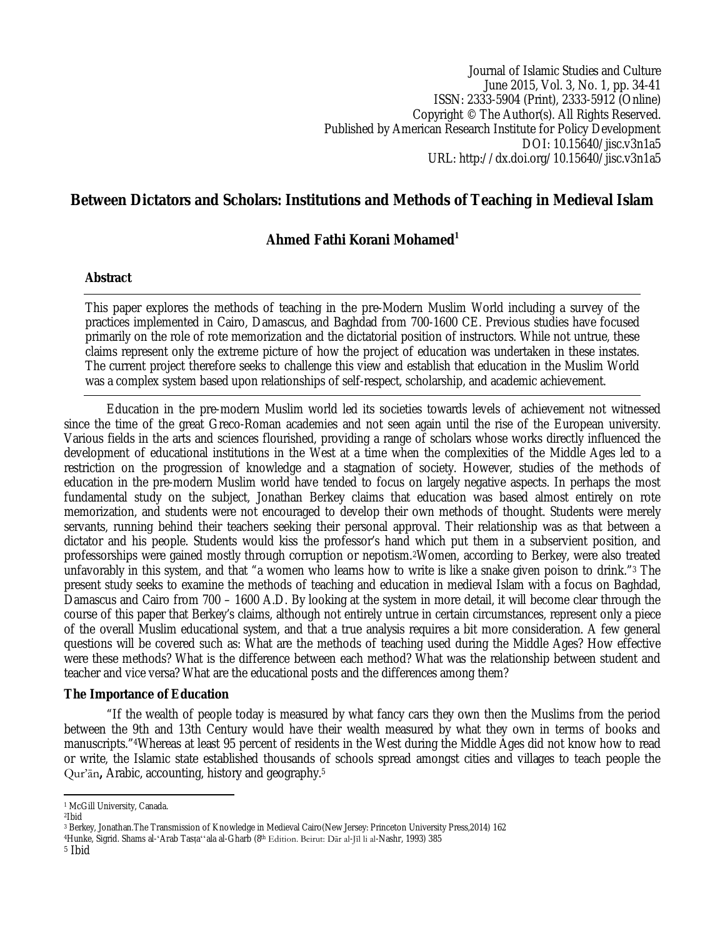Journal of Islamic Studies and Culture June 2015, Vol. 3, No. 1, pp. 34-41 ISSN: 2333-5904 (Print), 2333-5912 (Online) Copyright © The Author(s). All Rights Reserved. Published by American Research Institute for Policy Development DOI: 10.15640/jisc.v3n1a5 URL: http://dx.doi.org/10.15640/jisc.v3n1a5

# **Between Dictators and Scholars: Institutions and Methods of Teaching in Medieval Islam**

## **Ahmed Fathi Korani Mohamed<sup>1</sup>**

#### **Abstract**

This paper explores the methods of teaching in the pre-Modern Muslim World including a survey of the practices implemented in Cairo, Damascus, and Baghdad from 700-1600 CE. Previous studies have focused primarily on the role of rote memorization and the dictatorial position of instructors. While not untrue, these claims represent only the extreme picture of how the project of education was undertaken in these instates. The current project therefore seeks to challenge this view and establish that education in the Muslim World was a complex system based upon relationships of self-respect, scholarship, and academic achievement.

Education in the pre-modern Muslim world led its societies towards levels of achievement not witnessed since the time of the great Greco-Roman academies and not seen again until the rise of the European university. Various fields in the arts and sciences flourished, providing a range of scholars whose works directly influenced the development of educational institutions in the West at a time when the complexities of the Middle Ages led to a restriction on the progression of knowledge and a stagnation of society. However, studies of the methods of education in the pre-modern Muslim world have tended to focus on largely negative aspects. In perhaps the most fundamental study on the subject, Jonathan Berkey claims that education was based almost entirely on rote memorization, and students were not encouraged to develop their own methods of thought. Students were merely servants, running behind their teachers seeking their personal approval. Their relationship was as that between a dictator and his people. Students would kiss the professor's hand which put them in a subservient position, and professorships were gained mostly through corruption or nepotism.2Women, according to Berkey, were also treated unfavorably in this system, and that "a women who learns how to write is like a snake given poison to drink."<sup>3</sup> The present study seeks to examine the methods of teaching and education in medieval Islam with a focus on Baghdad, Damascus and Cairo from 700 – 1600 A.D. By looking at the system in more detail, it will become clear through the course of this paper that Berkey's claims, although not entirely untrue in certain circumstances, represent only a piece of the overall Muslim educational system, and that a true analysis requires a bit more consideration. A few general questions will be covered such as: What are the methods of teaching used during the Middle Ages? How effective were these methods? What is the difference between each method? What was the relationship between student and teacher and vice versa? What are the educational posts and the differences among them?

#### **The Importance of Education**

"If the wealth of people today is measured by what fancy cars they own then the Muslims from the period between the 9th and 13th Century would have their wealth measured by what they own in terms of books and manuscripts."4Whereas at least 95 percent of residents in the West during the Middle Ages did not know how to read or write, the Islamic state established thousands of schools spread amongst cities and villages to teach people the Qur'ān**,** Arabic, accounting, history and geography.<sup>5</sup>

 $\overline{\phantom{a}}$ <sup>1</sup> McGill University, Canada.

<sup>2</sup>Ibid

<sup>3</sup> Berkey, Jonathan.The Transmission of Knowledge in Medieval Cairo(New Jersey: Princeton University Press,2014) 162

<sup>4</sup>Hunke, Sigrid. Shams al-ʻArab Tasṭaʻʻala al-Gharb (8th Edition. Beirut: Dār al-Jīl li al-Nashr, 1993) 385

<sup>5</sup> Ibid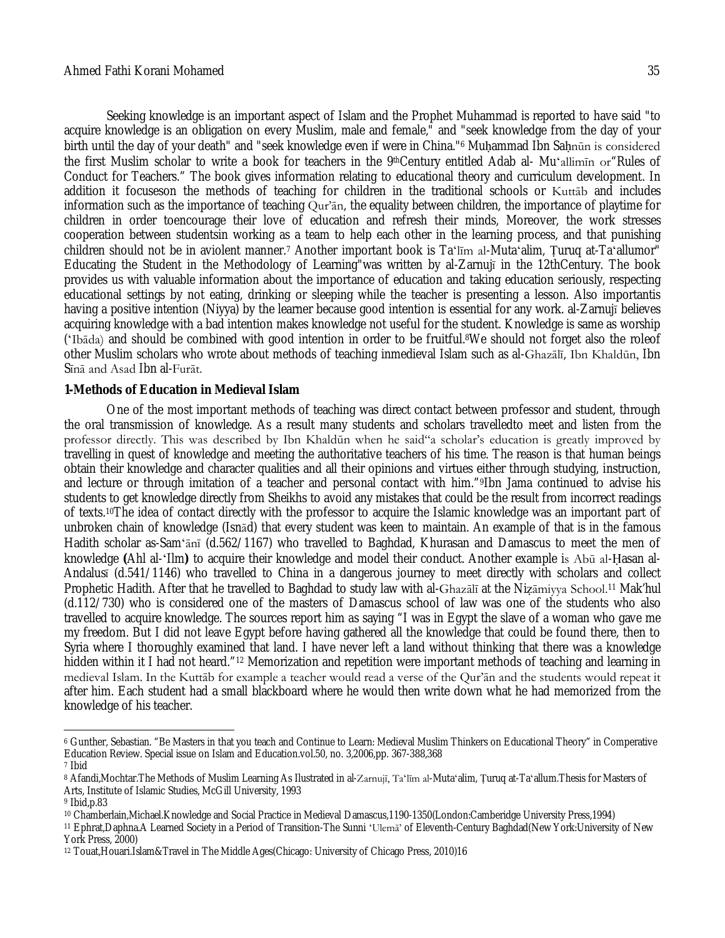Seeking knowledge is an important aspect of Islam and the Prophet Muhammad is reported to have said "to acquire knowledge is an obligation on every Muslim, male and female," and "seek knowledge from the day of your birth until the day of your death" and "seek knowledge even if were in China."<sup>6</sup> Muhammad Ibn Sahnūn is considered the first Muslim scholar to write a book for teachers in the 9thCentury entitled Adab al- Mu'allimin or"Rules of Conduct for Teachers." The book gives information relating to educational theory and curriculum development. In addition it focuseson the methods of teaching for children in the traditional schools or Kuttāb and includes information such as the importance of teaching Qur'ān, the equality between children, the importance of playtime for children in order toencourage their love of education and refresh their minds, Moreover, the work stresses cooperation between studentsin working as a team to help each other in the learning process, and that punishing children should not be in aviolent manner.<sup>7</sup> Another important book is Taʻlīm al-Mutaʻalim, Ṭuruq at-Taʻallumor" Educating the Student in the Methodology of Learning"was written by al-Zarnujī in the 12thCentury. The book provides us with valuable information about the importance of education and taking education seriously, respecting educational settings by not eating, drinking or sleeping while the teacher is presenting a lesson. Also importantis having a positive intention (Niyya) by the learner because good intention is essential for any work. al-Zarnujī believes acquiring knowledge with a bad intention makes knowledge not useful for the student. Knowledge is same as worship (ʻIbāda) and should be combined with good intention in order to be fruitful.8We should not forget also the roleof other Muslim scholars who wrote about methods of teaching inmedieval Islam such as al-Ghazālī, Ibn Khaldūn, Ibn Sīnā and Asad Ibn al-Furāt.

#### **1-Methods of Education in Medieval Islam**

One of the most important methods of teaching was direct contact between professor and student, through the oral transmission of knowledge. As a result many students and scholars travelledto meet and listen from the professor directly. This was described by Ibn Khaldūn when he said"a scholar's education is greatly improved by travelling in quest of knowledge and meeting the authoritative teachers of his time. The reason is that human beings obtain their knowledge and character qualities and all their opinions and virtues either through studying, instruction, and lecture or through imitation of a teacher and personal contact with him."9Ibn Jama continued to advise his students to get knowledge directly from Sheikhs to avoid any mistakes that could be the result from incorrect readings of texts.10The idea of contact directly with the professor to acquire the Islamic knowledge was an important part of unbroken chain of knowledge (Isnād) that every student was keen to maintain. An example of that is in the famous Hadith scholar as-Samʻānī (d.562/1167) who travelled to Baghdad, Khurasan and Damascus to meet the men of knowledge **(**Ahl al-ʻIlm**)** to acquire their knowledge and model their conduct. Another example is Abū al-Ḥasan al-Andalusī (d.541/1146) who travelled to China in a dangerous journey to meet directly with scholars and collect Prophetic Hadith. After that he travelled to Baghdad to study law with al-Ghazālī at the Nizāmiyya School.<sup>11</sup> Mak'hul (d.112/730) who is considered one of the masters of Damascus school of law was one of the students who also travelled to acquire knowledge. The sources report him as saying "I was in Egypt the slave of a woman who gave me my freedom. But I did not leave Egypt before having gathered all the knowledge that could be found there, then to Syria where I thoroughly examined that land. I have never left a land without thinking that there was a knowledge hidden within it I had not heard."<sup>12</sup> Memorization and repetition were important methods of teaching and learning in medieval Islam. In the Kuttāb for example a teacher would read a verse of the Qur'ān and the students would repeat it after him. Each student had a small blackboard where he would then write down what he had memorized from the knowledge of his teacher.

 $\overline{\phantom{a}}$ 

<sup>6</sup> Gunther, Sebastian. "Be Masters in that you teach and Continue to Learn: Medieval Muslim Thinkers on Educational Theory" in Comperative Education Review. Special issue on Islam and Education.vol.50, no. 3,2006,pp. 367-388,368 <sup>7</sup> Ibid

<sup>8</sup> Afandi,Mochtar.The Methods of Muslim Learning As Ilustrated in al-Zarnujī, Taʻlīm al-Mutaʻalim, Țuruq at-Taʻallum.Thesis for Masters of Arts, Institute of Islamic Studies, McGill University, 1993

<sup>9</sup> Ibid,p.83

<sup>10</sup> Chamberlain,Michael.Knowledge and Social Practice in Medieval Damascus,1190-1350(London:Camberidge University Press,1994)

<sup>11</sup> Ephrat,Daphna.A Learned Society in a Period of Transition-The Sunni ʻUlemā' of Eleventh-Century Baghdad(New York:University of New York Press, 2000)

<sup>12</sup> Touat,Houari.Islam&Travel in The Middle Ages(Chicago: University of Chicago Press, 2010)16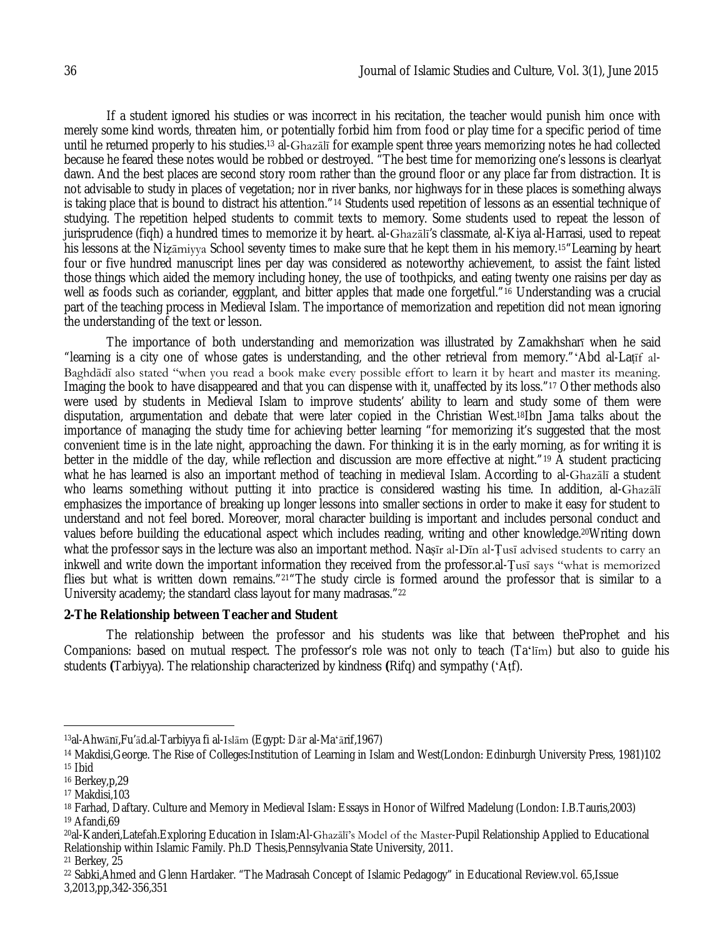If a student ignored his studies or was incorrect in his recitation, the teacher would punish him once with merely some kind words, threaten him, or potentially forbid him from food or play time for a specific period of time until he returned properly to his studies.<sup>13</sup> al-Ghazālī for example spent three years memorizing notes he had collected because he feared these notes would be robbed or destroyed. "The best time for memorizing one's lessons is clearlyat dawn. And the best places are second story room rather than the ground floor or any place far from distraction. It is not advisable to study in places of vegetation; nor in river banks, nor highways for in these places is something always is taking place that is bound to distract his attention."<sup>14</sup> Students used repetition of lessons as an essential technique of studying. The repetition helped students to commit texts to memory. Some students used to repeat the lesson of jurisprudence (fiqh) a hundred times to memorize it by heart. al-Ghazālī's classmate, al-Kiya al-Harrasi, used to repeat his lessons at the Nizāmiyya School seventy times to make sure that he kept them in his memory.<sup>15</sup> Learning by heart four or five hundred manuscript lines per day was considered as noteworthy achievement, to assist the faint listed those things which aided the memory including honey, the use of toothpicks, and eating twenty one raisins per day as well as foods such as coriander, eggplant, and bitter apples that made one forgetful."<sup>16</sup> Understanding was a crucial part of the teaching process in Medieval Islam. The importance of memorization and repetition did not mean ignoring the understanding of the text or lesson.

The importance of both understanding and memorization was illustrated by Zamakhsharī when he said "learning is a city one of whose gates is understanding, and the other retrieval from memory."ʻAbd al-Laṭīf al-Baghdādī also stated "when you read a book make every possible effort to learn it by heart and master its meaning. Imaging the book to have disappeared and that you can dispense with it, unaffected by its loss."<sup>17</sup> Other methods also were used by students in Medieval Islam to improve students' ability to learn and study some of them were disputation, argumentation and debate that were later copied in the Christian West.18Ibn Jama talks about the importance of managing the study time for achieving better learning "for memorizing it's suggested that the most convenient time is in the late night, approaching the dawn. For thinking it is in the early morning, as for writing it is better in the middle of the day, while reflection and discussion are more effective at night."<sup>19</sup> A student practicing what he has learned is also an important method of teaching in medieval Islam. According to al-Ghazālī a student who learns something without putting it into practice is considered wasting his time. In addition, al-Ghazali emphasizes the importance of breaking up longer lessons into smaller sections in order to make it easy for student to understand and not feel bored. Moreover, moral character building is important and includes personal conduct and values before building the educational aspect which includes reading, writing and other knowledge.20Writing down what the professor says in the lecture was also an important method. Nasir al-Din al-Tusi advised students to carry an inkwell and write down the important information they received from the professor.al-Ṭusī says "what is memorized flies but what is written down remains."21"The study circle is formed around the professor that is similar to a University academy; the standard class layout for many madrasas."<sup>22</sup>

#### **2-The Relationship between Teacher and Student**

The relationship between the professor and his students was like that between theProphet and his Companions: based on mutual respect. The professor's role was not only to teach (Taʻlīm) but also to guide his students **(**Tarbiyya). The relationship characterized by kindness **(**Rifq) and sympathy (ʻAṭf).

 $\overline{a}$ 

<sup>13</sup>al-Ahwānī,Fu'ād.al-Tarbiyya fi al-Islām (Egypt: Dār al-Maʻārif,1967)

<sup>14</sup> Makdisi,George. The Rise of Colleges:Institution of Learning in Islam and West(London: Edinburgh University Press, 1981)102 <sup>15</sup> Ibid

<sup>16</sup> Berkey,p,29

<sup>17</sup> Makdisi,103

<sup>18</sup> Farhad, Daftary. Culture and Memory in Medieval Islam: Essays in Honor of Wilfred Madelung (London: I.B.Tauris,2003) <sup>19</sup> Afandi,69

<sup>20</sup>al-Kanderi,Latefah.Exploring Education in Islam:Al-Ghazālī's Model of the Master-Pupil Relationship Applied to Educational Relationship within Islamic Family. Ph.D Thesis,Pennsylvania State University, 2011.

<sup>21</sup> Berkey, 25

<sup>22</sup> Sabki,Ahmed and Glenn Hardaker. "The Madrasah Concept of Islamic Pedagogy" in Educational Review.vol. 65,Issue 3,2013,pp,342-356,351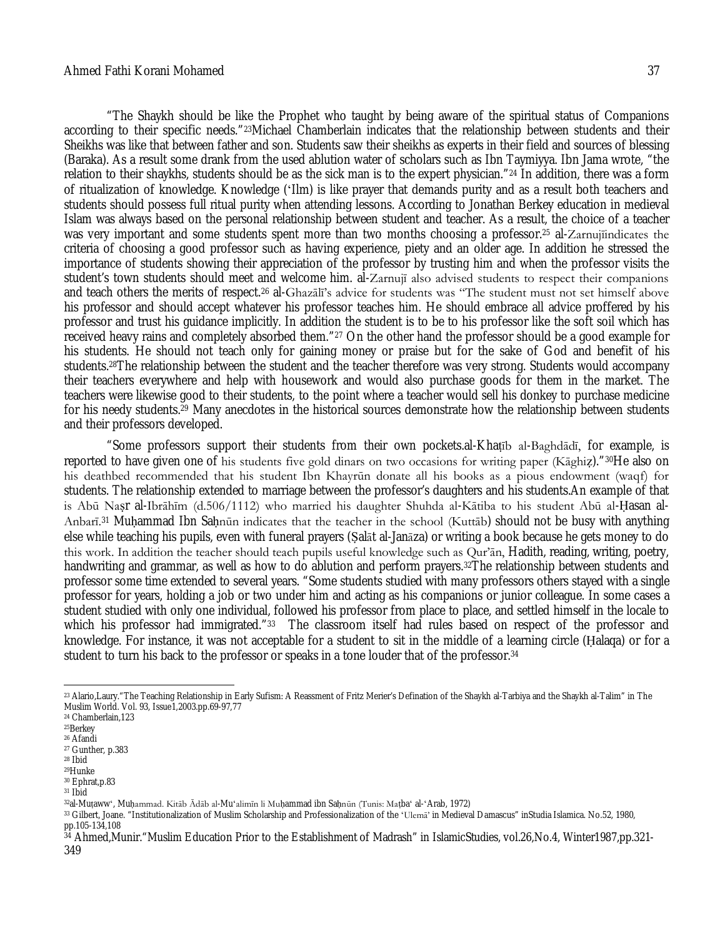"The Shaykh should be like the Prophet who taught by being aware of the spiritual status of Companions according to their specific needs."23Michael Chamberlain indicates that the relationship between students and their Sheikhs was like that between father and son. Students saw their sheikhs as experts in their field and sources of blessing (Baraka). As a result some drank from the used ablution water of scholars such as Ibn Taymiyya. Ibn Jama wrote, "the relation to their shaykhs, students should be as the sick man is to the expert physician."<sup>24</sup> In addition, there was a form of ritualization of knowledge. Knowledge (ʻIlm) is like prayer that demands purity and as a result both teachers and students should possess full ritual purity when attending lessons. According to Jonathan Berkey education in medieval Islam was always based on the personal relationship between student and teacher. As a result, the choice of a teacher was very important and some students spent more than two months choosing a professor.<sup>25</sup> al-Zarnujīindicates the criteria of choosing a good professor such as having experience, piety and an older age. In addition he stressed the importance of students showing their appreciation of the professor by trusting him and when the professor visits the student's town students should meet and welcome him. al-Zarnujī also advised students to respect their companions and teach others the merits of respect.<sup>26</sup> al-Ghazālī's advice for students was "The student must not set himself above his professor and should accept whatever his professor teaches him. He should embrace all advice proffered by his professor and trust his guidance implicitly. In addition the student is to be to his professor like the soft soil which has received heavy rains and completely absorbed them."<sup>27</sup> On the other hand the professor should be a good example for his students. He should not teach only for gaining money or praise but for the sake of God and benefit of his students.28The relationship between the student and the teacher therefore was very strong. Students would accompany their teachers everywhere and help with housework and would also purchase goods for them in the market. The teachers were likewise good to their students, to the point where a teacher would sell his donkey to purchase medicine for his needy students.<sup>29</sup> Many anecdotes in the historical sources demonstrate how the relationship between students and their professors developed.

"Some professors support their students from their own pockets.al-Khaṭīb al-Baghdādī, for example, is reported to have given one of his students five gold dinars on two occasions for writing paper (Kāghiẓ)."30He also on his deathbed recommended that his student Ibn Khayrūn donate all his books as a pious endowment (waqf) for students. The relationship extended to marriage between the professor's daughters and his students.An example of that is Abū Naṣr al-Ibrāhīm (d.506/1112) who married his daughter Shuhda al-Kātiba to his student Abū al-Ḥasan al-Anbarī.<sup>31</sup> Muḥammad Ibn Saḥnūn indicates that the teacher in the school (Kuttāb) should not be busy with anything else while teaching his pupils, even with funeral prayers (Ṣalāt al-Janāza) or writing a book because he gets money to do this work. In addition the teacher should teach pupils useful knowledge such as Qur'ān, Hadith, reading, writing, poetry, handwriting and grammar, as well as how to do ablution and perform prayers.32The relationship between students and professor some time extended to several years. "Some students studied with many professors others stayed with a single professor for years, holding a job or two under him and acting as his companions or junior colleague. In some cases a student studied with only one individual, followed his professor from place to place, and settled himself in the locale to which his professor had immigrated."33 The classroom itself had rules based on respect of the professor and knowledge. For instance, it was not acceptable for a student to sit in the middle of a learning circle (Ḥalaqa) or for a student to turn his back to the professor or speaks in a tone louder that of the professor.<sup>34</sup>

 $\overline{a}$ 

<sup>23</sup> Alario,Laury." The Teaching Relationship in Early Sufism: A Reassment of Fritz Merier's Defination of the Shaykh al-Tarbiya and the Shaykh al-Talim" in The Muslim World. Vol. 93, Issue1,2003.pp.69-97,77

<sup>24</sup> Chamberlain,123

<sup>25</sup>Berkey

<sup>26</sup> Afandi

<sup>27</sup> Gunther, p.383 <sup>28</sup> Ibid

<sup>29</sup>Hunke

<sup>30</sup> Ephrat,p.83

 $31$  Ibid

<sup>32</sup>al-Muṭawwʻ, Muḥammad. Kitāb Ādāb al-Muʻalimīn li Muḥammad ibn Saḥnūn (Tunis: Maṭbaʻ al-ʻArab, 1972)

<sup>33</sup> Gilbert, Joane. "Institutionalization of Muslim Scholarship and Professionalization of the 'Ulema' in Medieval Damascus" inStudia Islamica. No.52, 1980, pp.105-134,108

<sup>34</sup> Ahmed,Munir."Muslim Education Prior to the Establishment of Madrash" in IslamicStudies, vol.26,No.4, Winter1987,pp.321- 349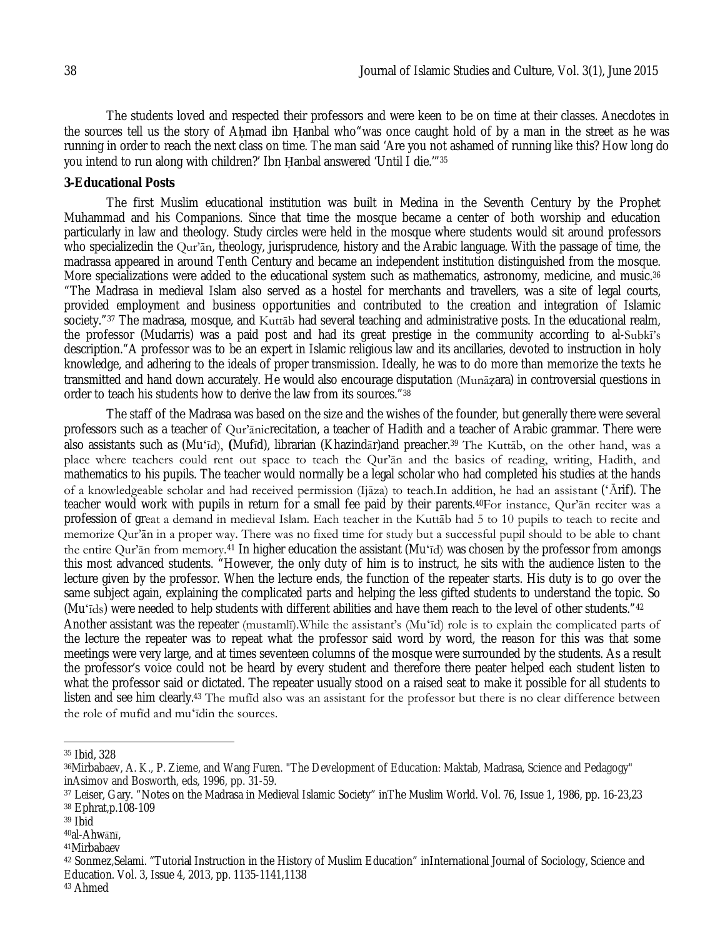The students loved and respected their professors and were keen to be on time at their classes. Anecdotes in the sources tell us the story of Ahmad ibn Hanbal who"was once caught hold of by a man in the street as he was running in order to reach the next class on time. The man said 'Are you not ashamed of running like this? How long do you intend to run along with children?' Ibn Ḥanbal answered 'Until I die.'"<sup>35</sup>

#### **3-Educational Posts**

The first Muslim educational institution was built in Medina in the Seventh Century by the Prophet Muhammad and his Companions. Since that time the mosque became a center of both worship and education particularly in law and theology. Study circles were held in the mosque where students would sit around professors who specializedin the Our'an, theology, jurisprudence, history and the Arabic language. With the passage of time, the madrassa appeared in around Tenth Century and became an independent institution distinguished from the mosque. More specializations were added to the educational system such as mathematics, astronomy, medicine, and music.<sup>36</sup> "The Madrasa in medieval Islam also served as a hostel for merchants and travellers, was a site of legal courts, provided employment and business opportunities and contributed to the creation and integration of Islamic society."<sup>37</sup> The madrasa, mosque, and Kuttāb had several teaching and administrative posts. In the educational realm, the professor (Mudarris) was a paid post and had its great prestige in the community according to al-Subkī's description."A professor was to be an expert in Islamic religious law and its ancillaries, devoted to instruction in holy knowledge, and adhering to the ideals of proper transmission. Ideally, he was to do more than memorize the texts he transmitted and hand down accurately. He would also encourage disputation (Munāẓara) in controversial questions in order to teach his students how to derive the law from its sources."<sup>38</sup>

The staff of the Madrasa was based on the size and the wishes of the founder, but generally there were several professors such as a teacher of Qur'ānicrecitation, a teacher of Hadith and a teacher of Arabic grammar. There were also assistants such as (Muʻīd), **(**Mufīd), librarian (Khazindār)and preacher.<sup>39</sup> The Kuttāb, on the other hand, was a place where teachers could rent out space to teach the Qur'ān and the basics of reading, writing, Hadith, and mathematics to his pupils. The teacher would normally be a legal scholar who had completed his studies at the hands of a knowledgeable scholar and had received permission (Ijāza) to teach.In addition, he had an assistant (ʻĀrif). The teacher would work with pupils in return for a small fee paid by their parents.40For instance, Qur'ān reciter was a profession of great a demand in medieval Islam. Each teacher in the Kuttāb had 5 to 10 pupils to teach to recite and memorize Qur'ān in a proper way. There was no fixed time for study but a successful pupil should to be able to chant the entire Qur'ān from memory.<sup>41</sup> In higher education the assistant (Muʻīd) was chosen by the professor from amongs this most advanced students. "However, the only duty of him is to instruct, he sits with the audience listen to the lecture given by the professor. When the lecture ends, the function of the repeater starts. His duty is to go over the same subject again, explaining the complicated parts and helping the less gifted students to understand the topic. So (Muʻīds) were needed to help students with different abilities and have them reach to the level of other students."<sup>42</sup> Another assistant was the repeater (mustamlī).While the assistant's (Muʻīd) role is to explain the complicated parts of the lecture the repeater was to repeat what the professor said word by word, the reason for this was that some

meetings were very large, and at times seventeen columns of the mosque were surrounded by the students. As a result the professor's voice could not be heard by every student and therefore there peater helped each student listen to what the professor said or dictated. The repeater usually stood on a raised seat to make it possible for all students to listen and see him clearly.<sup>43</sup> The mufid also was an assistant for the professor but there is no clear difference between the role of mufīd and muʻīdin the sources.

 $\overline{\phantom{a}}$ 

<sup>35</sup> Ibid, 328

<sup>36</sup>Mirbabaev, A. K., P. Zieme, and Wang Furen. "The Development of Education: Maktab, Madrasa, Science and Pedagogy" inAsimov and Bosworth, eds, 1996, pp. 31-59.

<sup>37</sup> Leiser, Gary. "Notes on the Madrasa in Medieval Islamic Society" inThe Muslim World. Vol. 76, Issue 1, 1986, pp. 16-23,23

<sup>38</sup> Ephrat,p.108-109

 $39$  Ibid

<sup>40</sup>al-Ahwānī,

<sup>41</sup>Mirbabaev

<sup>42</sup> Sonmez,Selami. "Tutorial Instruction in the History of Muslim Education" inInternational Journal of Sociology, Science and Education. Vol. 3, Issue 4, 2013, pp. 1135-1141,1138

<sup>43</sup> Ahmed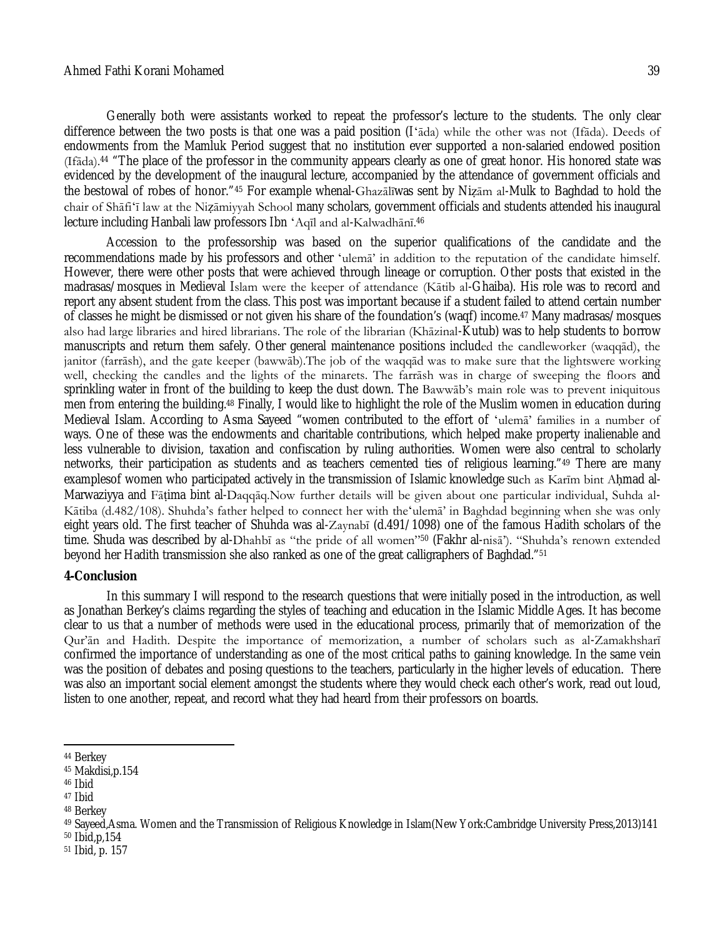#### Ahmed Fathi Korani Mohamed 39

Generally both were assistants worked to repeat the professor's lecture to the students. The only clear difference between the two posts is that one was a paid position (Iʻāda) while the other was not (Ifāda). Deeds of endowments from the Mamluk Period suggest that no institution ever supported a non-salaried endowed position (Ifāda).<sup>44</sup> "The place of the professor in the community appears clearly as one of great honor. His honored state was evidenced by the development of the inaugural lecture, accompanied by the attendance of government officials and the bestowal of robes of honor."<sup>45</sup> For example whenal-Ghazālīwas sent by Niẓām al-Mulk to Baghdad to hold the chair of Shāfiʻī law at the Niẓāmiyyah School many scholars, government officials and students attended his inaugural lecture including Hanbali law professors Ibn ʻAqīl and al-Kalwadhānī.<sup>46</sup>

Accession to the professorship was based on the superior qualifications of the candidate and the recommendations made by his professors and other ʻulemā' in addition to the reputation of the candidate himself. However, there were other posts that were achieved through lineage or corruption. Other posts that existed in the madrasas/mosques in Medieval Islam were the keeper of attendance (Kātib al-Ghaiba). His role was to record and report any absent student from the class. This post was important because if a student failed to attend certain number of classes he might be dismissed or not given his share of the foundation's (waqf) income.<sup>47</sup> Many madrasas/mosques also had large libraries and hired librarians. The role of the librarian (Khāzinal-Kutub) was to help students to borrow manuscripts and return them safely. Other general maintenance positions included the candleworker (waqqād), the janitor (farrāsh), and the gate keeper (bawwāb).The job of the waqqād was to make sure that the lightswere working well, checking the candles and the lights of the minarets. The farrāsh was in charge of sweeping the floors and sprinkling water in front of the building to keep the dust down. The Bawwāb's main role was to prevent iniquitous men from entering the building.<sup>48</sup> Finally, I would like to highlight the role of the Muslim women in education during Medieval Islam. According to Asma Sayeed "women contributed to the effort of ʻulemā' families in a number of ways. One of these was the endowments and charitable contributions, which helped make property inalienable and less vulnerable to division, taxation and confiscation by ruling authorities. Women were also central to scholarly networks, their participation as students and as teachers cemented ties of religious learning."<sup>49</sup> There are many examplesof women who participated actively in the transmission of Islamic knowledge such as Karīm bint Aḥmad al-Marwaziyya and Fāṭima bint al-Daqqāq.Now further details will be given about one particular individual, Suhda al-Kātiba (d.482/108). Shuhda's father helped to connect her with theʻulemā' in Baghdad beginning when she was only eight years old. The first teacher of Shuhda was al-Zaynabī (d.491/1098) one of the famous Hadith scholars of the time. Shuda was described by al-Dhahbī as "the pride of all women"<sup>50</sup> (Fakhr al-nisā'). "Shuhda's renown extended beyond her Hadith transmission she also ranked as one of the great calligraphers of Baghdad."<sup>51</sup>

#### **4-Conclusion**

In this summary I will respond to the research questions that were initially posed in the introduction, as well as Jonathan Berkey's claims regarding the styles of teaching and education in the Islamic Middle Ages. It has become clear to us that a number of methods were used in the educational process, primarily that of memorization of the Qur'ān and Hadith. Despite the importance of memorization, a number of scholars such as al-Zamakhsharī confirmed the importance of understanding as one of the most critical paths to gaining knowledge. In the same vein was the position of debates and posing questions to the teachers, particularly in the higher levels of education. There was also an important social element amongst the students where they would check each other's work, read out loud, listen to one another, repeat, and record what they had heard from their professors on boards.

<sup>47</sup> Ibid

<sup>50</sup> Ibid,p,154

 $\overline{a}$ <sup>44</sup> Berkey

<sup>45</sup> Makdisi,p.154

<sup>46</sup> Ibid

<sup>48</sup> Berkey

<sup>49</sup> Sayeed,Asma. Women and the Transmission of Religious Knowledge in Islam(New York:Cambridge University Press,2013)141

<sup>51</sup> Ibid, p. 157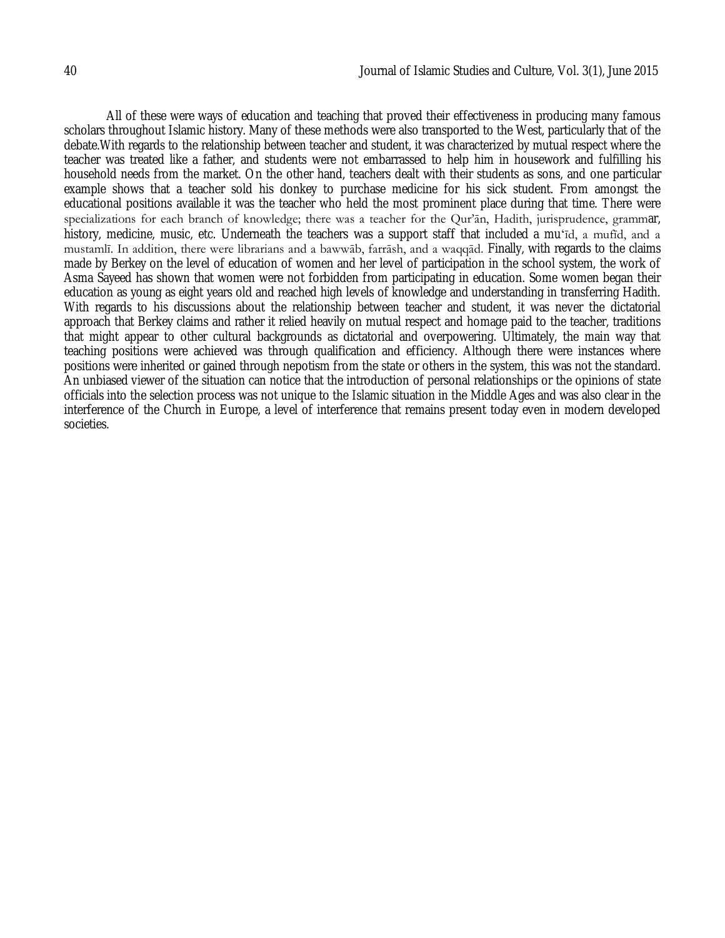All of these were ways of education and teaching that proved their effectiveness in producing many famous scholars throughout Islamic history. Many of these methods were also transported to the West, particularly that of the debate.With regards to the relationship between teacher and student, it was characterized by mutual respect where the teacher was treated like a father, and students were not embarrassed to help him in housework and fulfilling his household needs from the market. On the other hand, teachers dealt with their students as sons, and one particular example shows that a teacher sold his donkey to purchase medicine for his sick student. From amongst the educational positions available it was the teacher who held the most prominent place during that time. There were specializations for each branch of knowledge; there was a teacher for the Qur'an, Hadith, jurisprudence, grammar, history, medicine, music, etc. Underneath the teachers was a support staff that included a mu'id, a mufid, and a mustamlī. In addition, there were librarians and a bawwāb, farrāsh, and a waqqād. Finally, with regards to the claims made by Berkey on the level of education of women and her level of participation in the school system, the work of Asma Sayeed has shown that women were not forbidden from participating in education. Some women began their education as young as eight years old and reached high levels of knowledge and understanding in transferring Hadith. With regards to his discussions about the relationship between teacher and student, it was never the dictatorial approach that Berkey claims and rather it relied heavily on mutual respect and homage paid to the teacher, traditions that might appear to other cultural backgrounds as dictatorial and overpowering. Ultimately, the main way that teaching positions were achieved was through qualification and efficiency. Although there were instances where positions were inherited or gained through nepotism from the state or others in the system, this was not the standard. An unbiased viewer of the situation can notice that the introduction of personal relationships or the opinions of state officials into the selection process was not unique to the Islamic situation in the Middle Ages and was also clear in the interference of the Church in Europe, a level of interference that remains present today even in modern developed societies.